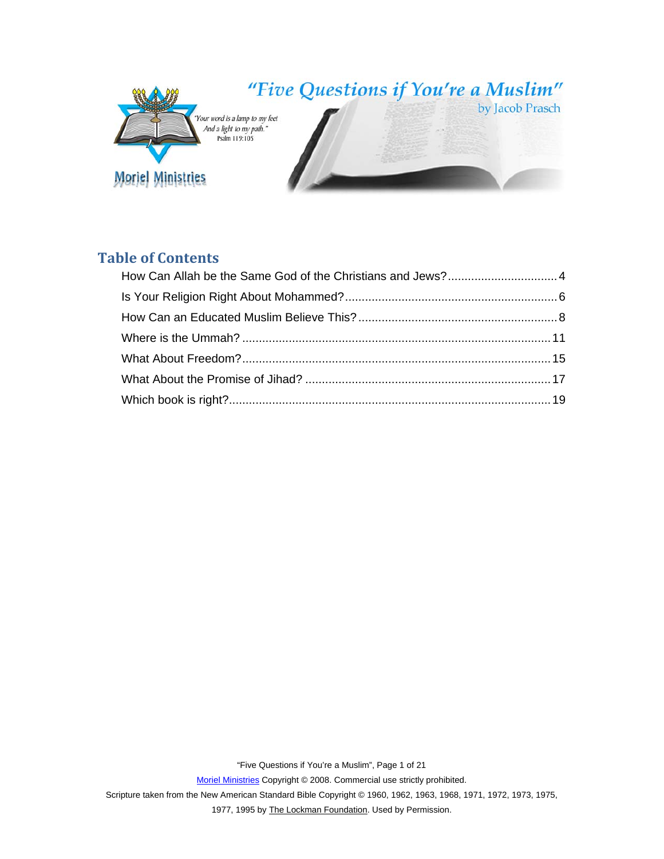

# **Table of Contents**

"Five Questions if You're a Muslim", Page 1 of 21

Moriel Ministries Copyright © 2008. Commercial use strictly prohibited.

Scripture taken from the New American Standard Bible Copyright © 1960, 1962, 1963, 1968, 1971, 1972, 1973, 1975,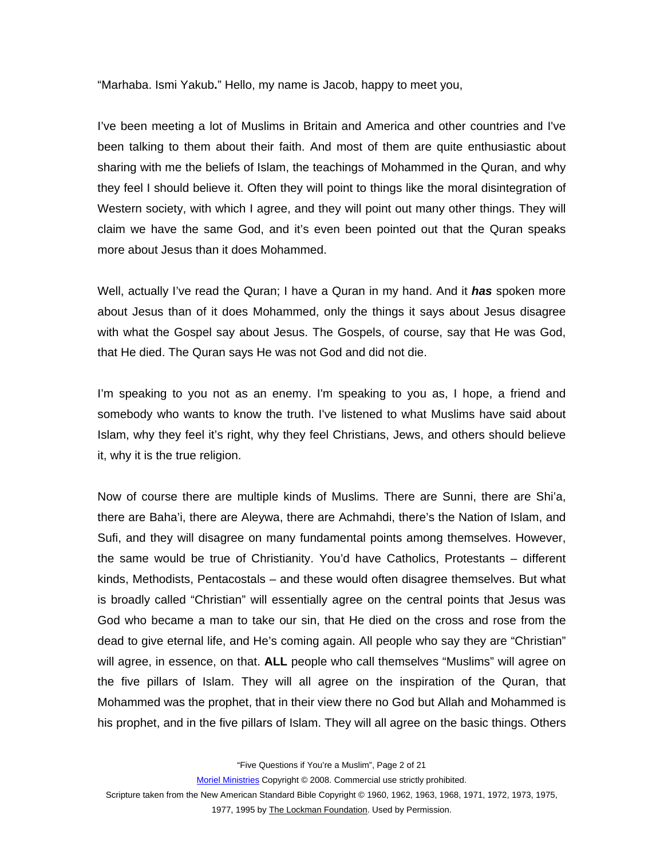"Marhaba. Ismi Yakub**.**" Hello, my name is Jacob, happy to meet you,

I've been meeting a lot of Muslims in Britain and America and other countries and I've been talking to them about their faith. And most of them are quite enthusiastic about sharing with me the beliefs of Islam, the teachings of Mohammed in the Quran, and why they feel I should believe it. Often they will point to things like the moral disintegration of Western society, with which I agree, and they will point out many other things. They will claim we have the same God, and it's even been pointed out that the Quran speaks more about Jesus than it does Mohammed.

Well, actually I've read the Quran; I have a Quran in my hand. And it *has* spoken more about Jesus than of it does Mohammed, only the things it says about Jesus disagree with what the Gospel say about Jesus. The Gospels, of course, say that He was God, that He died. The Quran says He was not God and did not die.

I'm speaking to you not as an enemy. I'm speaking to you as, I hope, a friend and somebody who wants to know the truth. I've listened to what Muslims have said about Islam, why they feel it's right, why they feel Christians, Jews, and others should believe it, why it is the true religion.

Now of course there are multiple kinds of Muslims. There are Sunni, there are Shi'a, there are Baha'i, there are Aleywa, there are Achmahdi, there's the Nation of Islam, and Sufi, and they will disagree on many fundamental points among themselves. However, the same would be true of Christianity. You'd have Catholics, Protestants – different kinds, Methodists, Pentacostals – and these would often disagree themselves. But what is broadly called "Christian" will essentially agree on the central points that Jesus was God who became a man to take our sin, that He died on the cross and rose from the dead to give eternal life, and He's coming again. All people who say they are "Christian" will agree, in essence, on that. **ALL** people who call themselves "Muslims" will agree on the five pillars of Islam. They will all agree on the inspiration of the Quran, that Mohammed was the prophet, that in their view there no God but Allah and Mohammed is his prophet, and in the five pillars of Islam. They will all agree on the basic things. Others

"Five Questions if You're a Muslim", Page 2 of 21

Moriel Ministries Copyright © 2008. Commercial use strictly prohibited.

Scripture taken from the New American Standard Bible Copyright © 1960, 1962, 1963, 1968, 1971, 1972, 1973, 1975,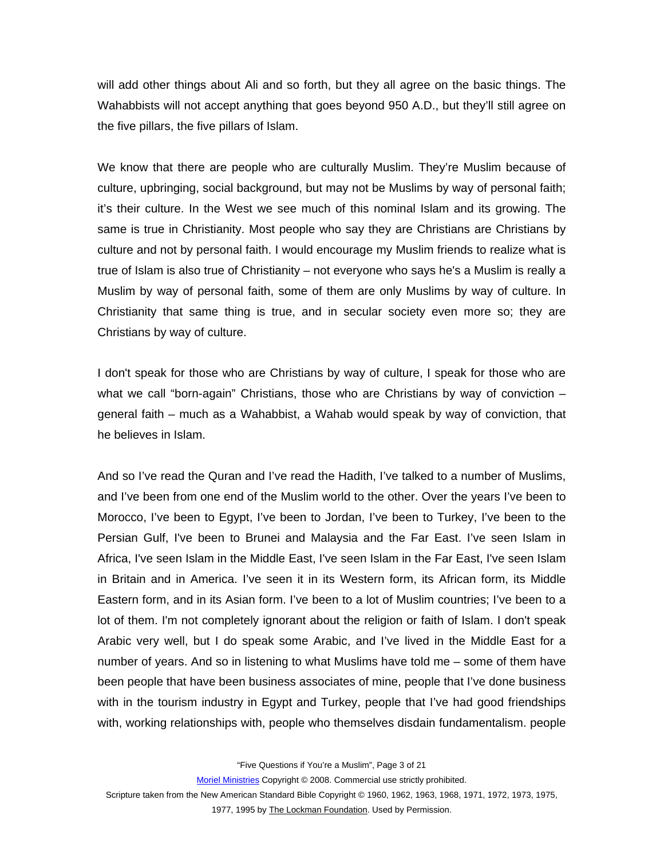will add other things about Ali and so forth, but they all agree on the basic things. The Wahabbists will not accept anything that goes beyond 950 A.D., but they'll still agree on the five pillars, the five pillars of Islam.

We know that there are people who are culturally Muslim. They're Muslim because of culture, upbringing, social background, but may not be Muslims by way of personal faith; it's their culture. In the West we see much of this nominal Islam and its growing. The same is true in Christianity. Most people who say they are Christians are Christians by culture and not by personal faith. I would encourage my Muslim friends to realize what is true of Islam is also true of Christianity – not everyone who says he's a Muslim is really a Muslim by way of personal faith, some of them are only Muslims by way of culture. In Christianity that same thing is true, and in secular society even more so; they are Christians by way of culture.

I don't speak for those who are Christians by way of culture, I speak for those who are what we call "born-again" Christians, those who are Christians by way of conviction – general faith – much as a Wahabbist, a Wahab would speak by way of conviction, that he believes in Islam.

And so I've read the Quran and I've read the Hadith, I've talked to a number of Muslims, and I've been from one end of the Muslim world to the other. Over the years I've been to Morocco, I've been to Egypt, I've been to Jordan, I've been to Turkey, I've been to the Persian Gulf, I've been to Brunei and Malaysia and the Far East. I've seen Islam in Africa, I've seen Islam in the Middle East, I've seen Islam in the Far East, I've seen Islam in Britain and in America. I've seen it in its Western form, its African form, its Middle Eastern form, and in its Asian form. I've been to a lot of Muslim countries; I've been to a lot of them. I'm not completely ignorant about the religion or faith of Islam. I don't speak Arabic very well, but I do speak some Arabic, and I've lived in the Middle East for a number of years. And so in listening to what Muslims have told me – some of them have been people that have been business associates of mine, people that I've done business with in the tourism industry in Egypt and Turkey, people that I've had good friendships with, working relationships with, people who themselves disdain fundamentalism. people

"Five Questions if You're a Muslim", Page 3 of 21

Moriel Ministries Copyright © 2008. Commercial use strictly prohibited.

Scripture taken from the New American Standard Bible Copyright © 1960, 1962, 1963, 1968, 1971, 1972, 1973, 1975,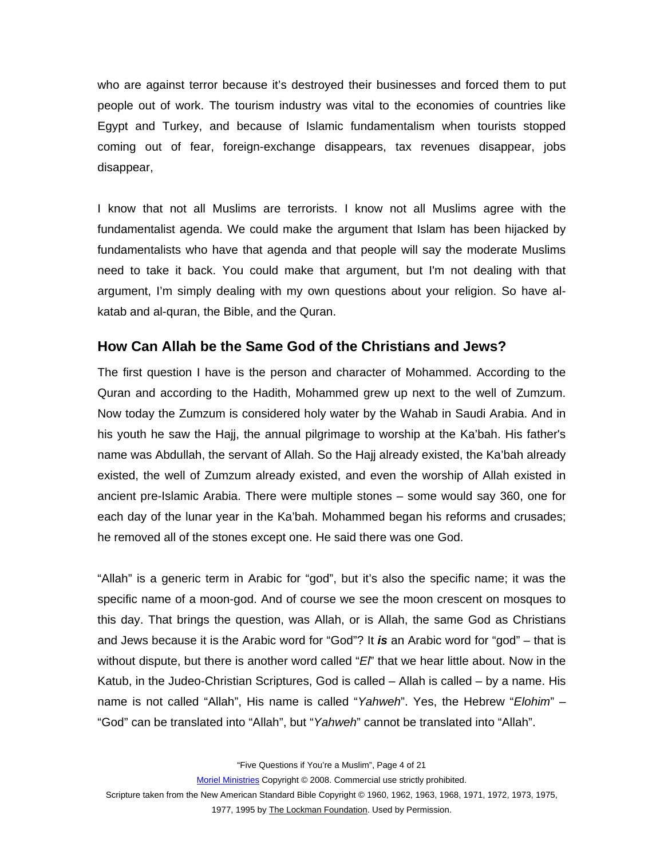<span id="page-3-0"></span>who are against terror because it's destroyed their businesses and forced them to put people out of work. The tourism industry was vital to the economies of countries like Egypt and Turkey, and because of Islamic fundamentalism when tourists stopped coming out of fear, foreign-exchange disappears, tax revenues disappear, jobs disappear,

I know that not all Muslims are terrorists. I know not all Muslims agree with the fundamentalist agenda. We could make the argument that Islam has been hijacked by fundamentalists who have that agenda and that people will say the moderate Muslims need to take it back. You could make that argument, but I'm not dealing with that argument, I'm simply dealing with my own questions about your religion. So have alkatab and al-quran, the Bible, and the Quran.

## **How Can Allah be the Same God of the Christians and Jews?**

The first question I have is the person and character of Mohammed. According to the Quran and according to the Hadith, Mohammed grew up next to the well of Zumzum. Now today the Zumzum is considered holy water by the Wahab in Saudi Arabia. And in his youth he saw the Hajj, the annual pilgrimage to worship at the Ka'bah. His father's name was Abdullah, the servant of Allah. So the Hajj already existed, the Ka'bah already existed, the well of Zumzum already existed, and even the worship of Allah existed in ancient pre-Islamic Arabia. There were multiple stones – some would say 360, one for each day of the lunar year in the Ka'bah. Mohammed began his reforms and crusades; he removed all of the stones except one. He said there was one God.

"Allah" is a generic term in Arabic for "god", but it's also the specific name; it was the specific name of a moon-god. And of course we see the moon crescent on mosques to this day. That brings the question, was Allah, or is Allah, the same God as Christians and Jews because it is the Arabic word for "God"? It *is* an Arabic word for "god" – that is without dispute, but there is another word called "*El*" that we hear little about. Now in the Katub, in the Judeo-Christian Scriptures, God is called – Allah is called – by a name. His name is not called "Allah", His name is called "*Yahweh*". Yes, the Hebrew "*Elohim*" – "God" can be translated into "Allah", but "*Yahweh*" cannot be translated into "Allah".

"Five Questions if You're a Muslim", Page 4 of 21

Moriel Ministries Copyright © 2008. Commercial use strictly prohibited.

Scripture taken from the New American Standard Bible Copyright © 1960, 1962, 1963, 1968, 1971, 1972, 1973, 1975,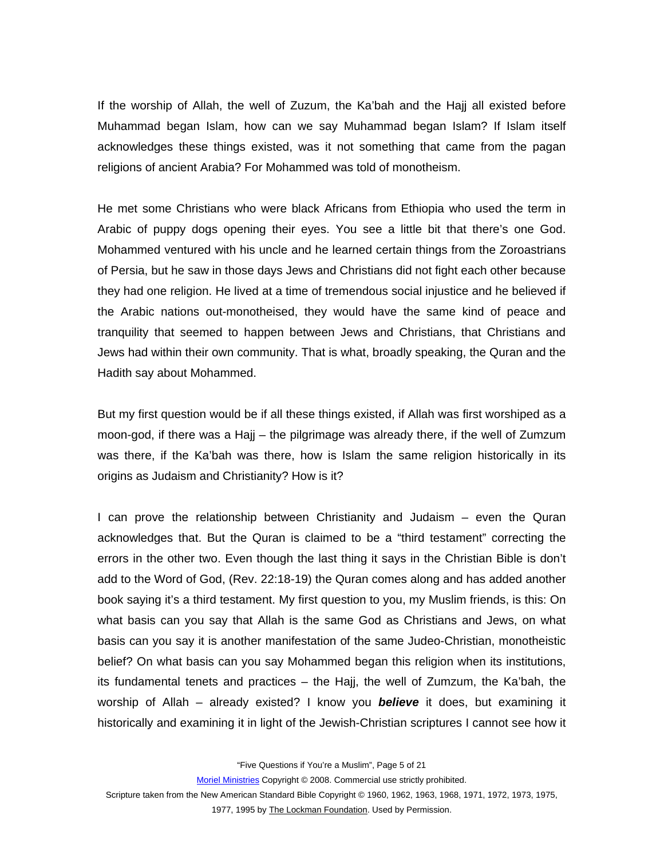If the worship of Allah, the well of Zuzum, the Ka'bah and the Hajj all existed before Muhammad began Islam, how can we say Muhammad began Islam? If Islam itself acknowledges these things existed, was it not something that came from the pagan religions of ancient Arabia? For Mohammed was told of monotheism.

He met some Christians who were black Africans from Ethiopia who used the term in Arabic of puppy dogs opening their eyes. You see a little bit that there's one God. Mohammed ventured with his uncle and he learned certain things from the Zoroastrians of Persia, but he saw in those days Jews and Christians did not fight each other because they had one religion. He lived at a time of tremendous social injustice and he believed if the Arabic nations out-monotheised, they would have the same kind of peace and tranquility that seemed to happen between Jews and Christians, that Christians and Jews had within their own community. That is what, broadly speaking, the Quran and the Hadith say about Mohammed.

But my first question would be if all these things existed, if Allah was first worshiped as a moon-god, if there was a Hajj – the pilgrimage was already there, if the well of Zumzum was there, if the Ka'bah was there, how is Islam the same religion historically in its origins as Judaism and Christianity? How is it?

I can prove the relationship between Christianity and Judaism – even the Quran acknowledges that. But the Quran is claimed to be a "third testament" correcting the errors in the other two. Even though the last thing it says in the Christian Bible is don't add to the Word of God, (Rev. 22:18-19) the Quran comes along and has added another book saying it's a third testament. My first question to you, my Muslim friends, is this: On what basis can you say that Allah is the same God as Christians and Jews, on what basis can you say it is another manifestation of the same Judeo-Christian, monotheistic belief? On what basis can you say Mohammed began this religion when its institutions, its fundamental tenets and practices – the Hajj, the well of Zumzum, the Ka'bah, the worship of Allah – already existed? I know you *believe* it does, but examining it historically and examining it in light of the Jewish-Christian scriptures I cannot see how it

"Five Questions if You're a Muslim", Page 5 of 21

Moriel Ministries Copyright © 2008. Commercial use strictly prohibited.

Scripture taken from the New American Standard Bible Copyright © 1960, 1962, 1963, 1968, 1971, 1972, 1973, 1975,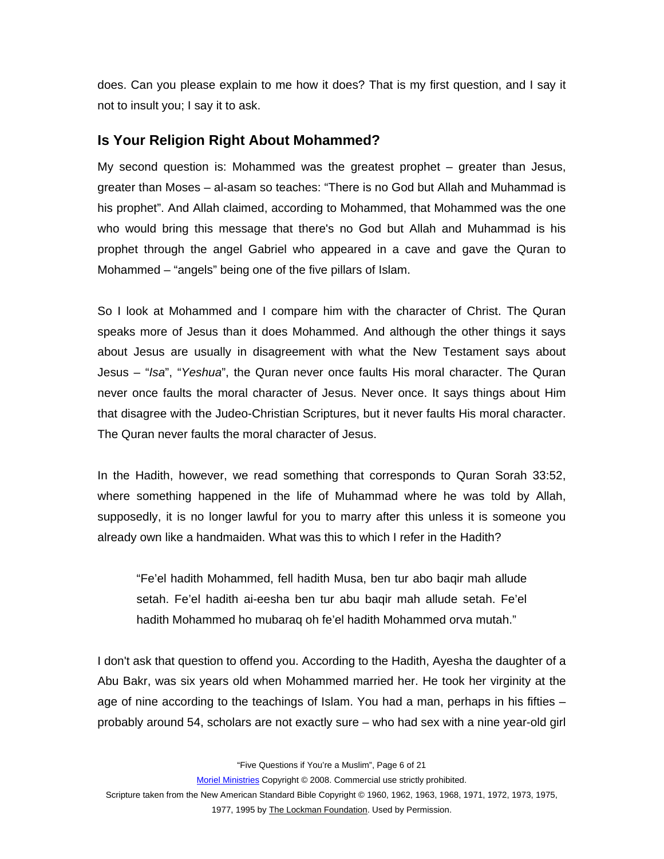<span id="page-5-0"></span>does. Can you please explain to me how it does? That is my first question, and I say it not to insult you; I say it to ask.

### **Is Your Religion Right About Mohammed?**

My second question is: Mohammed was the greatest prophet – greater than Jesus, greater than Moses – al-asam so teaches: "There is no God but Allah and Muhammad is his prophet". And Allah claimed, according to Mohammed, that Mohammed was the one who would bring this message that there's no God but Allah and Muhammad is his prophet through the angel Gabriel who appeared in a cave and gave the Quran to Mohammed – "angels" being one of the five pillars of Islam.

So I look at Mohammed and I compare him with the character of Christ. The Quran speaks more of Jesus than it does Mohammed. And although the other things it says about Jesus are usually in disagreement with what the New Testament says about Jesus – "*Isa*", "*Yeshua*", the Quran never once faults His moral character. The Quran never once faults the moral character of Jesus. Never once. It says things about Him that disagree with the Judeo-Christian Scriptures, but it never faults His moral character. The Quran never faults the moral character of Jesus.

In the Hadith, however, we read something that corresponds to Quran Sorah 33:52, where something happened in the life of Muhammad where he was told by Allah, supposedly, it is no longer lawful for you to marry after this unless it is someone you already own like a handmaiden. What was this to which I refer in the Hadith?

"Fe'el hadith Mohammed, fell hadith Musa, ben tur abo baqir mah allude setah. Fe'el hadith ai-eesha ben tur abu baqir mah allude setah. Fe'el hadith Mohammed ho mubaraq oh fe'el hadith Mohammed orva mutah."

I don't ask that question to offend you. According to the Hadith, Ayesha the daughter of a Abu Bakr, was six years old when Mohammed married her. He took her virginity at the age of nine according to the teachings of Islam. You had a man, perhaps in his fifties – probably around 54, scholars are not exactly sure – who had sex with a nine year-old girl

"Five Questions if You're a Muslim", Page 6 of 21

Moriel Ministries Copyright © 2008. Commercial use strictly prohibited.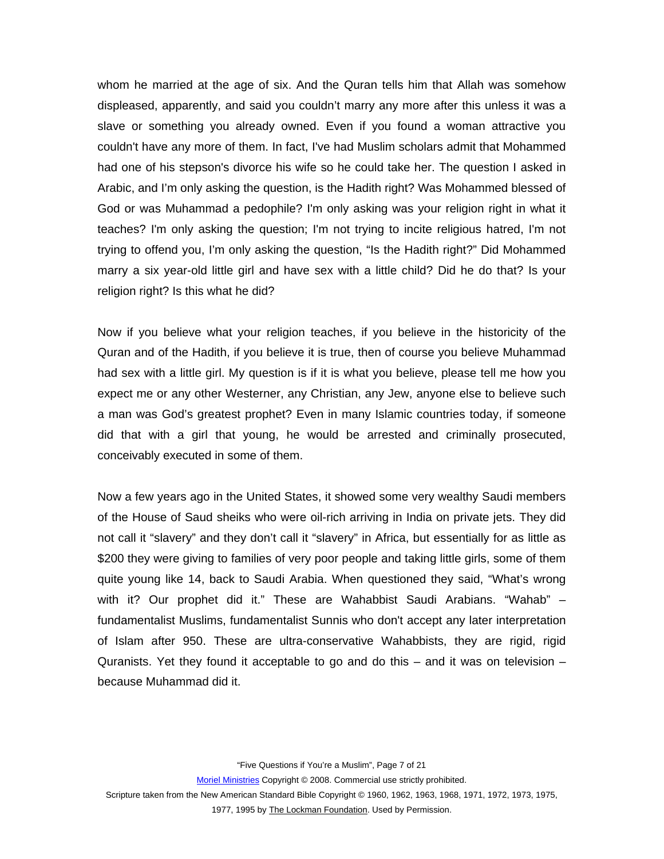whom he married at the age of six. And the Quran tells him that Allah was somehow displeased, apparently, and said you couldn't marry any more after this unless it was a slave or something you already owned. Even if you found a woman attractive you couldn't have any more of them. In fact, I've had Muslim scholars admit that Mohammed had one of his stepson's divorce his wife so he could take her. The question I asked in Arabic, and I'm only asking the question, is the Hadith right? Was Mohammed blessed of God or was Muhammad a pedophile? I'm only asking was your religion right in what it teaches? I'm only asking the question; I'm not trying to incite religious hatred, I'm not trying to offend you, I'm only asking the question, "Is the Hadith right?" Did Mohammed marry a six year-old little girl and have sex with a little child? Did he do that? Is your religion right? Is this what he did?

Now if you believe what your religion teaches, if you believe in the historicity of the Quran and of the Hadith, if you believe it is true, then of course you believe Muhammad had sex with a little girl. My question is if it is what you believe, please tell me how you expect me or any other Westerner, any Christian, any Jew, anyone else to believe such a man was God's greatest prophet? Even in many Islamic countries today, if someone did that with a girl that young, he would be arrested and criminally prosecuted, conceivably executed in some of them.

Now a few years ago in the United States, it showed some very wealthy Saudi members of the House of Saud sheiks who were oil-rich arriving in India on private jets. They did not call it "slavery" and they don't call it "slavery" in Africa, but essentially for as little as \$200 they were giving to families of very poor people and taking little girls, some of them quite young like 14, back to Saudi Arabia. When questioned they said, "What's wrong with it? Our prophet did it." These are Wahabbist Saudi Arabians. "Wahab" – fundamentalist Muslims, fundamentalist Sunnis who don't accept any later interpretation of Islam after 950. These are ultra-conservative Wahabbists, they are rigid, rigid Quranists. Yet they found it acceptable to go and do this  $-$  and it was on television  $$ because Muhammad did it.

"Five Questions if You're a Muslim", Page 7 of 21

Moriel Ministries Copyright © 2008. Commercial use strictly prohibited.

Scripture taken from the New American Standard Bible Copyright © 1960, 1962, 1963, 1968, 1971, 1972, 1973, 1975,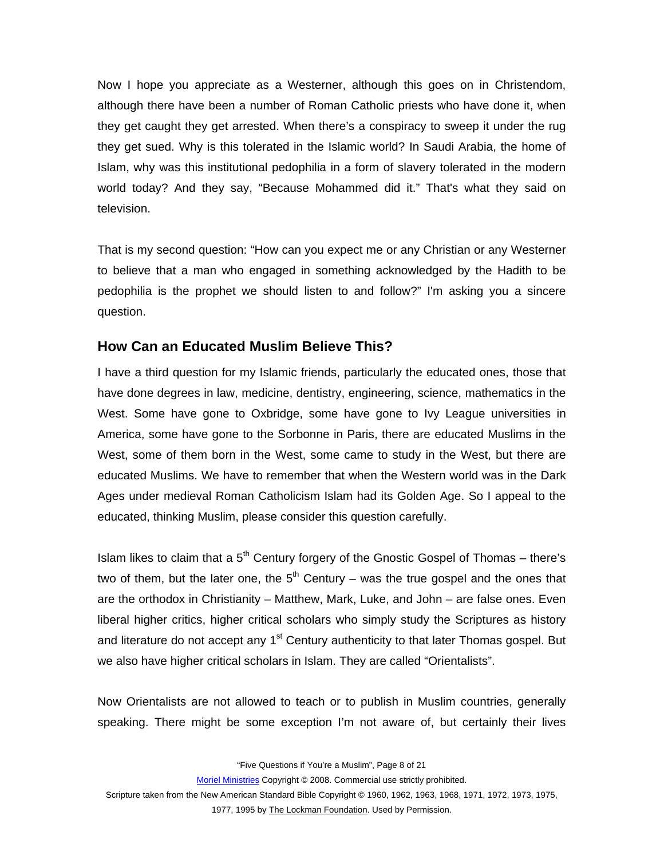<span id="page-7-0"></span>Now I hope you appreciate as a Westerner, although this goes on in Christendom, although there have been a number of Roman Catholic priests who have done it, when they get caught they get arrested. When there's a conspiracy to sweep it under the rug they get sued. Why is this tolerated in the Islamic world? In Saudi Arabia, the home of Islam, why was this institutional pedophilia in a form of slavery tolerated in the modern world today? And they say, "Because Mohammed did it." That's what they said on television.

That is my second question: "How can you expect me or any Christian or any Westerner to believe that a man who engaged in something acknowledged by the Hadith to be pedophilia is the prophet we should listen to and follow?" I'm asking you a sincere question.

## **How Can an Educated Muslim Believe This?**

I have a third question for my Islamic friends, particularly the educated ones, those that have done degrees in law, medicine, dentistry, engineering, science, mathematics in the West. Some have gone to Oxbridge, some have gone to Ivy League universities in America, some have gone to the Sorbonne in Paris, there are educated Muslims in the West, some of them born in the West, some came to study in the West, but there are educated Muslims. We have to remember that when the Western world was in the Dark Ages under medieval Roman Catholicism Islam had its Golden Age. So I appeal to the educated, thinking Muslim, please consider this question carefully.

Islam likes to claim that a  $5<sup>th</sup>$  Century forgery of the Gnostic Gospel of Thomas – there's two of them, but the later one, the  $5<sup>th</sup>$  Century – was the true gospel and the ones that are the orthodox in Christianity – Matthew, Mark, Luke, and John – are false ones. Even liberal higher critics, higher critical scholars who simply study the Scriptures as history and literature do not accept any  $1<sup>st</sup>$  Century authenticity to that later Thomas gospel. But we also have higher critical scholars in Islam. They are called "Orientalists".

Now Orientalists are not allowed to teach or to publish in Muslim countries, generally speaking. There might be some exception I'm not aware of, but certainly their lives

"Five Questions if You're a Muslim", Page 8 of 21

Moriel Ministries Copyright © 2008. Commercial use strictly prohibited.

Scripture taken from the New American Standard Bible Copyright © 1960, 1962, 1963, 1968, 1971, 1972, 1973, 1975,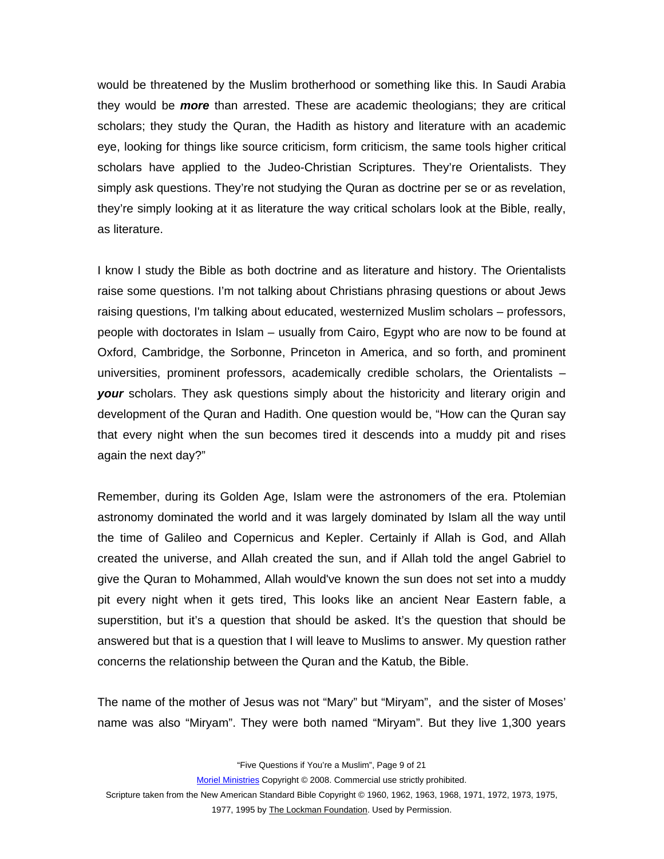would be threatened by the Muslim brotherhood or something like this. In Saudi Arabia they would be *more* than arrested. These are academic theologians; they are critical scholars; they study the Quran, the Hadith as history and literature with an academic eye, looking for things like source criticism, form criticism, the same tools higher critical scholars have applied to the Judeo-Christian Scriptures. They're Orientalists. They simply ask questions. They're not studying the Quran as doctrine per se or as revelation, they're simply looking at it as literature the way critical scholars look at the Bible, really, as literature.

I know I study the Bible as both doctrine and as literature and history. The Orientalists raise some questions. I'm not talking about Christians phrasing questions or about Jews raising questions, I'm talking about educated, westernized Muslim scholars – professors, people with doctorates in Islam – usually from Cairo, Egypt who are now to be found at Oxford, Cambridge, the Sorbonne, Princeton in America, and so forth, and prominent universities, prominent professors, academically credible scholars, the Orientalists – *your* scholars. They ask questions simply about the historicity and literary origin and development of the Quran and Hadith. One question would be, "How can the Quran say that every night when the sun becomes tired it descends into a muddy pit and rises again the next day?"

Remember, during its Golden Age, Islam were the astronomers of the era. Ptolemian astronomy dominated the world and it was largely dominated by Islam all the way until the time of Galileo and Copernicus and Kepler. Certainly if Allah is God, and Allah created the universe, and Allah created the sun, and if Allah told the angel Gabriel to give the Quran to Mohammed, Allah would've known the sun does not set into a muddy pit every night when it gets tired, This looks like an ancient Near Eastern fable, a superstition, but it's a question that should be asked. It's the question that should be answered but that is a question that I will leave to Muslims to answer. My question rather concerns the relationship between the Quran and the Katub, the Bible.

The name of the mother of Jesus was not "Mary" but "Miryam", and the sister of Moses' name was also "Miryam". They were both named "Miryam". But they live 1,300 years

"Five Questions if You're a Muslim", Page 9 of 21

Moriel Ministries Copyright © 2008. Commercial use strictly prohibited.

Scripture taken from the New American Standard Bible Copyright © 1960, 1962, 1963, 1968, 1971, 1972, 1973, 1975,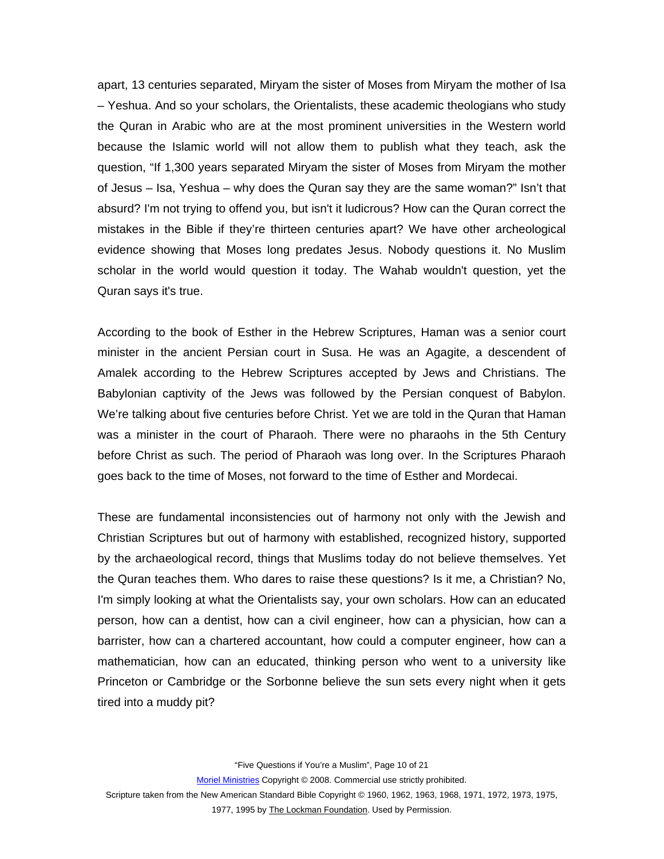apart, 13 centuries separated, Miryam the sister of Moses from Miryam the mother of Isa – Yeshua. And so your scholars, the Orientalists, these academic theologians who study the Quran in Arabic who are at the most prominent universities in the Western world because the Islamic world will not allow them to publish what they teach, ask the question, "If 1,300 years separated Miryam the sister of Moses from Miryam the mother of Jesus – Isa, Yeshua – why does the Quran say they are the same woman?" Isn't that absurd? I'm not trying to offend you, but isn't it ludicrous? How can the Quran correct the mistakes in the Bible if they're thirteen centuries apart? We have other archeological evidence showing that Moses long predates Jesus. Nobody questions it. No Muslim scholar in the world would question it today. The Wahab wouldn't question, yet the Quran says it's true.

According to the book of Esther in the Hebrew Scriptures, Haman was a senior court minister in the ancient Persian court in Susa. He was an Agagite, a descendent of Amalek according to the Hebrew Scriptures accepted by Jews and Christians. The Babylonian captivity of the Jews was followed by the Persian conquest of Babylon. We're talking about five centuries before Christ. Yet we are told in the Quran that Haman was a minister in the court of Pharaoh. There were no pharaohs in the 5th Century before Christ as such. The period of Pharaoh was long over. In the Scriptures Pharaoh goes back to the time of Moses, not forward to the time of Esther and Mordecai.

These are fundamental inconsistencies out of harmony not only with the Jewish and Christian Scriptures but out of harmony with established, recognized history, supported by the archaeological record, things that Muslims today do not believe themselves. Yet the Quran teaches them. Who dares to raise these questions? Is it me, a Christian? No, I'm simply looking at what the Orientalists say, your own scholars. How can an educated person, how can a dentist, how can a civil engineer, how can a physician, how can a barrister, how can a chartered accountant, how could a computer engineer, how can a mathematician, how can an educated, thinking person who went to a university like Princeton or Cambridge or the Sorbonne believe the sun sets every night when it gets tired into a muddy pit?

"Five Questions if You're a Muslim", Page 10 of 21

Moriel Ministries Copyright © 2008. Commercial use strictly prohibited.

Scripture taken from the New American Standard Bible Copyright © 1960, 1962, 1963, 1968, 1971, 1972, 1973, 1975,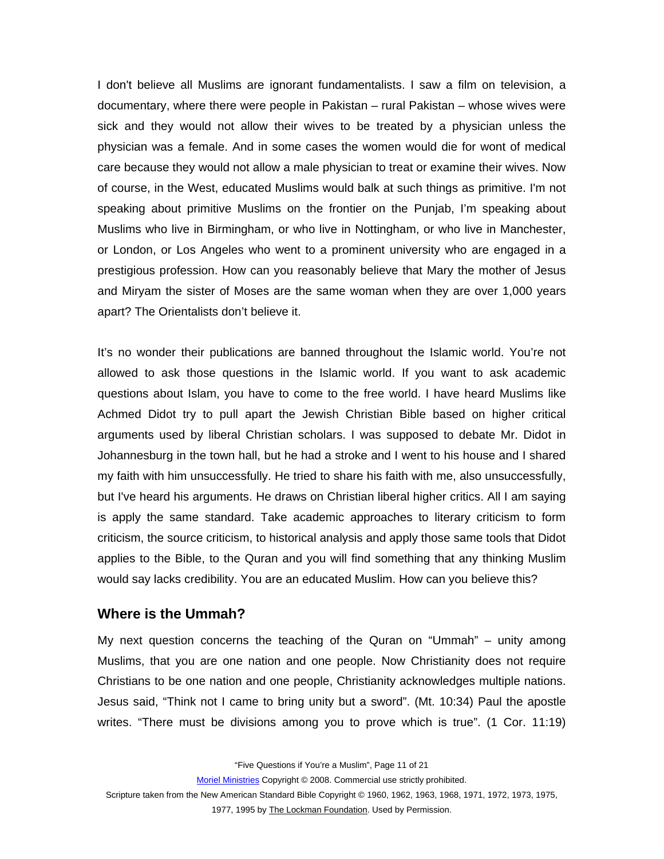<span id="page-10-0"></span>I don't believe all Muslims are ignorant fundamentalists. I saw a film on television, a documentary, where there were people in Pakistan – rural Pakistan – whose wives were sick and they would not allow their wives to be treated by a physician unless the physician was a female. And in some cases the women would die for wont of medical care because they would not allow a male physician to treat or examine their wives. Now of course, in the West, educated Muslims would balk at such things as primitive. I'm not speaking about primitive Muslims on the frontier on the Punjab, I'm speaking about Muslims who live in Birmingham, or who live in Nottingham, or who live in Manchester, or London, or Los Angeles who went to a prominent university who are engaged in a prestigious profession. How can you reasonably believe that Mary the mother of Jesus and Miryam the sister of Moses are the same woman when they are over 1,000 years apart? The Orientalists don't believe it.

It's no wonder their publications are banned throughout the Islamic world. You're not allowed to ask those questions in the Islamic world. If you want to ask academic questions about Islam, you have to come to the free world. I have heard Muslims like Achmed Didot try to pull apart the Jewish Christian Bible based on higher critical arguments used by liberal Christian scholars. I was supposed to debate Mr. Didot in Johannesburg in the town hall, but he had a stroke and I went to his house and I shared my faith with him unsuccessfully. He tried to share his faith with me, also unsuccessfully, but I've heard his arguments. He draws on Christian liberal higher critics. All I am saying is apply the same standard. Take academic approaches to literary criticism to form criticism, the source criticism, to historical analysis and apply those same tools that Didot applies to the Bible, to the Quran and you will find something that any thinking Muslim would say lacks credibility. You are an educated Muslim. How can you believe this?

#### **Where is the Ummah?**

My next question concerns the teaching of the Quran on "Ummah" – unity among Muslims, that you are one nation and one people. Now Christianity does not require Christians to be one nation and one people, Christianity acknowledges multiple nations. Jesus said, "Think not I came to bring unity but a sword". (Mt. 10:34) Paul the apostle writes. "There must be divisions among you to prove which is true". (1 Cor. 11:19)

"Five Questions if You're a Muslim", Page 11 of 21

Moriel Ministries Copyright © 2008. Commercial use strictly prohibited.

Scripture taken from the New American Standard Bible Copyright © 1960, 1962, 1963, 1968, 1971, 1972, 1973, 1975,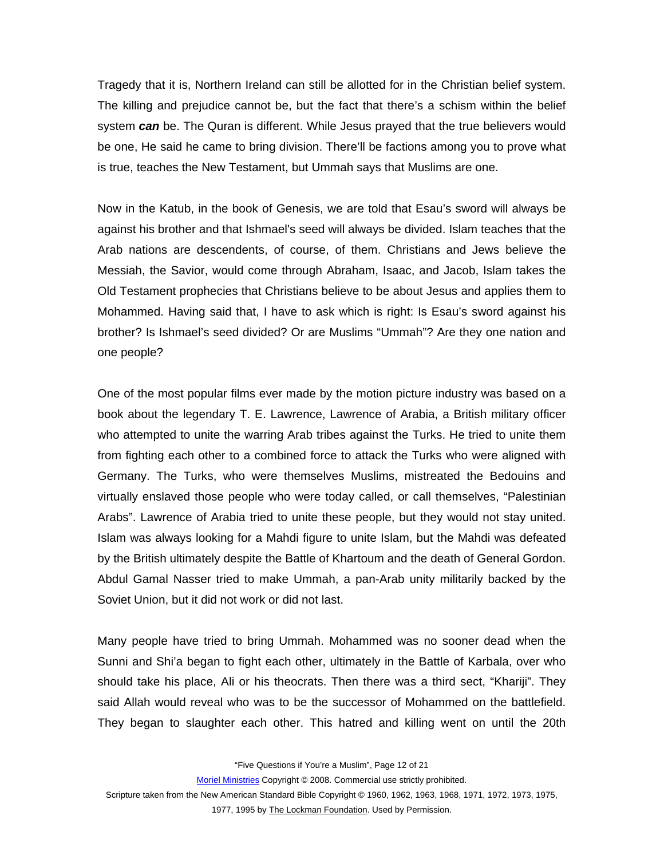Tragedy that it is, Northern Ireland can still be allotted for in the Christian belief system. The killing and prejudice cannot be, but the fact that there's a schism within the belief system *can* be. The Quran is different. While Jesus prayed that the true believers would be one, He said he came to bring division. There'll be factions among you to prove what is true, teaches the New Testament, but Ummah says that Muslims are one.

Now in the Katub, in the book of Genesis, we are told that Esau's sword will always be against his brother and that Ishmael's seed will always be divided. Islam teaches that the Arab nations are descendents, of course, of them. Christians and Jews believe the Messiah, the Savior, would come through Abraham, Isaac, and Jacob, Islam takes the Old Testament prophecies that Christians believe to be about Jesus and applies them to Mohammed. Having said that, I have to ask which is right: Is Esau's sword against his brother? Is Ishmael's seed divided? Or are Muslims "Ummah"? Are they one nation and one people?

One of the most popular films ever made by the motion picture industry was based on a book about the legendary T. E. Lawrence, Lawrence of Arabia, a British military officer who attempted to unite the warring Arab tribes against the Turks. He tried to unite them from fighting each other to a combined force to attack the Turks who were aligned with Germany. The Turks, who were themselves Muslims, mistreated the Bedouins and virtually enslaved those people who were today called, or call themselves, "Palestinian Arabs". Lawrence of Arabia tried to unite these people, but they would not stay united. Islam was always looking for a Mahdi figure to unite Islam, but the Mahdi was defeated by the British ultimately despite the Battle of Khartoum and the death of General Gordon. Abdul Gamal Nasser tried to make Ummah, a pan-Arab unity militarily backed by the Soviet Union, but it did not work or did not last.

Many people have tried to bring Ummah. Mohammed was no sooner dead when the Sunni and Shi'a began to fight each other, ultimately in the Battle of Karbala, over who should take his place, Ali or his theocrats. Then there was a third sect, "Khariji". They said Allah would reveal who was to be the successor of Mohammed on the battlefield. They began to slaughter each other. This hatred and killing went on until the 20th

"Five Questions if You're a Muslim", Page 12 of 21

Moriel Ministries Copyright © 2008. Commercial use strictly prohibited.

Scripture taken from the New American Standard Bible Copyright © 1960, 1962, 1963, 1968, 1971, 1972, 1973, 1975,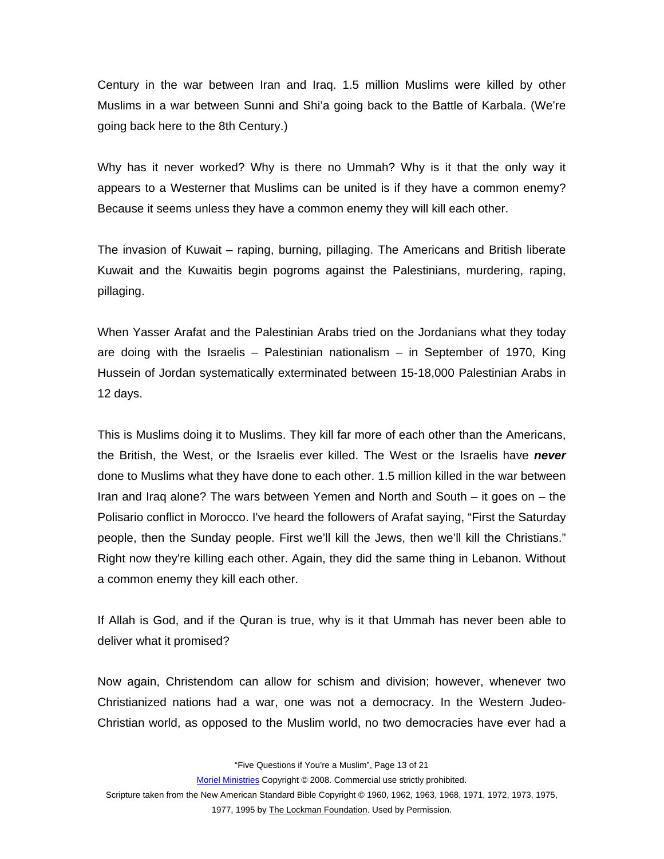Century in the war between Iran and Iraq. 1.5 million Muslims were killed by other Muslims in a war between Sunni and Shi'a going back to the Battle of Karbala. (We're going back here to the 8th Century.)

Why has it never worked? Why is there no Ummah? Why is it that the only way it appears to a Westerner that Muslims can be united is if they have a common enemy? Because it seems unless they have a common enemy they will kill each other.

The invasion of Kuwait – raping, burning, pillaging. The Americans and British liberate Kuwait and the Kuwaitis begin pogroms against the Palestinians, murdering, raping, pillaging.

When Yasser Arafat and the Palestinian Arabs tried on the Jordanians what they today are doing with the Israelis – Palestinian nationalism – in September of 1970, King Hussein of Jordan systematically exterminated between 15-18,000 Palestinian Arabs in 12 days.

This is Muslims doing it to Muslims. They kill far more of each other than the Americans, the British, the West, or the Israelis ever killed. The West or the Israelis have *never* done to Muslims what they have done to each other. 1.5 million killed in the war between Iran and Iraq alone? The wars between Yemen and North and South – it goes on – the Polisario conflict in Morocco. I've heard the followers of Arafat saying, "First the Saturday people, then the Sunday people. First we'll kill the Jews, then we'll kill the Christians." Right now they're killing each other. Again, they did the same thing in Lebanon. Without a common enemy they kill each other.

If Allah is God, and if the Quran is true, why is it that Ummah has never been able to deliver what it promised?

Now again, Christendom can allow for schism and division; however, whenever two Christianized nations had a war, one was not a democracy. In the Western Judeo-Christian world, as opposed to the Muslim world, no two democracies have ever had a

"Five Questions if You're a Muslim", Page 13 of 21

Moriel Ministries Copyright © 2008. Commercial use strictly prohibited.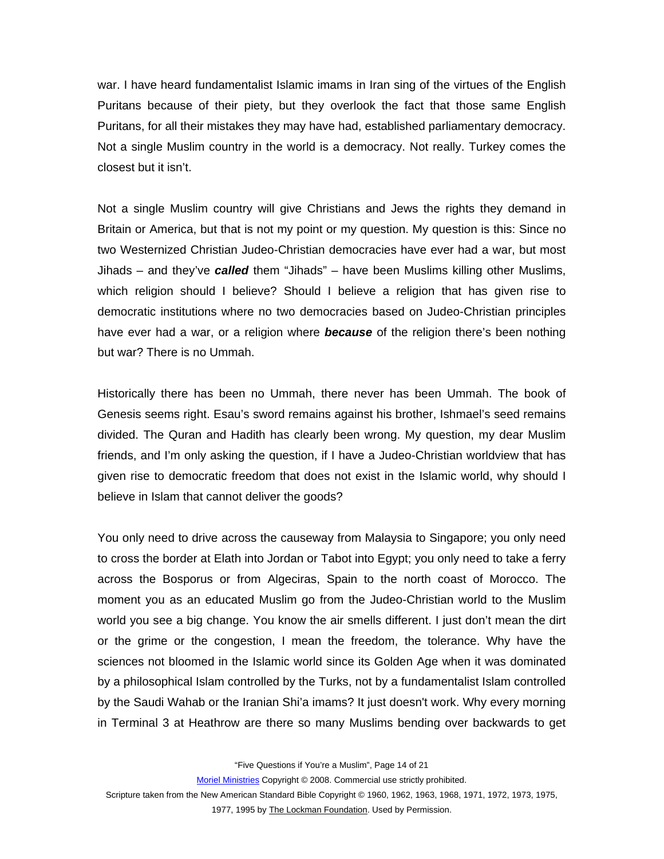war. I have heard fundamentalist Islamic imams in Iran sing of the virtues of the English Puritans because of their piety, but they overlook the fact that those same English Puritans, for all their mistakes they may have had, established parliamentary democracy. Not a single Muslim country in the world is a democracy. Not really. Turkey comes the closest but it isn't.

Not a single Muslim country will give Christians and Jews the rights they demand in Britain or America, but that is not my point or my question. My question is this: Since no two Westernized Christian Judeo-Christian democracies have ever had a war, but most Jihads – and they've *called* them "Jihads" – have been Muslims killing other Muslims, which religion should I believe? Should I believe a religion that has given rise to democratic institutions where no two democracies based on Judeo-Christian principles have ever had a war, or a religion where *because* of the religion there's been nothing but war? There is no Ummah.

Historically there has been no Ummah, there never has been Ummah. The book of Genesis seems right. Esau's sword remains against his brother, Ishmael's seed remains divided. The Quran and Hadith has clearly been wrong. My question, my dear Muslim friends, and I'm only asking the question, if I have a Judeo-Christian worldview that has given rise to democratic freedom that does not exist in the Islamic world, why should I believe in Islam that cannot deliver the goods?

You only need to drive across the causeway from Malaysia to Singapore; you only need to cross the border at Elath into Jordan or Tabot into Egypt; you only need to take a ferry across the Bosporus or from Algeciras, Spain to the north coast of Morocco. The moment you as an educated Muslim go from the Judeo-Christian world to the Muslim world you see a big change. You know the air smells different. I just don't mean the dirt or the grime or the congestion, I mean the freedom, the tolerance. Why have the sciences not bloomed in the Islamic world since its Golden Age when it was dominated by a philosophical Islam controlled by the Turks, not by a fundamentalist Islam controlled by the Saudi Wahab or the Iranian Shi'a imams? It just doesn't work. Why every morning in Terminal 3 at Heathrow are there so many Muslims bending over backwards to get

"Five Questions if You're a Muslim", Page 14 of 21

Moriel Ministries Copyright © 2008. Commercial use strictly prohibited.

Scripture taken from the New American Standard Bible Copyright © 1960, 1962, 1963, 1968, 1971, 1972, 1973, 1975,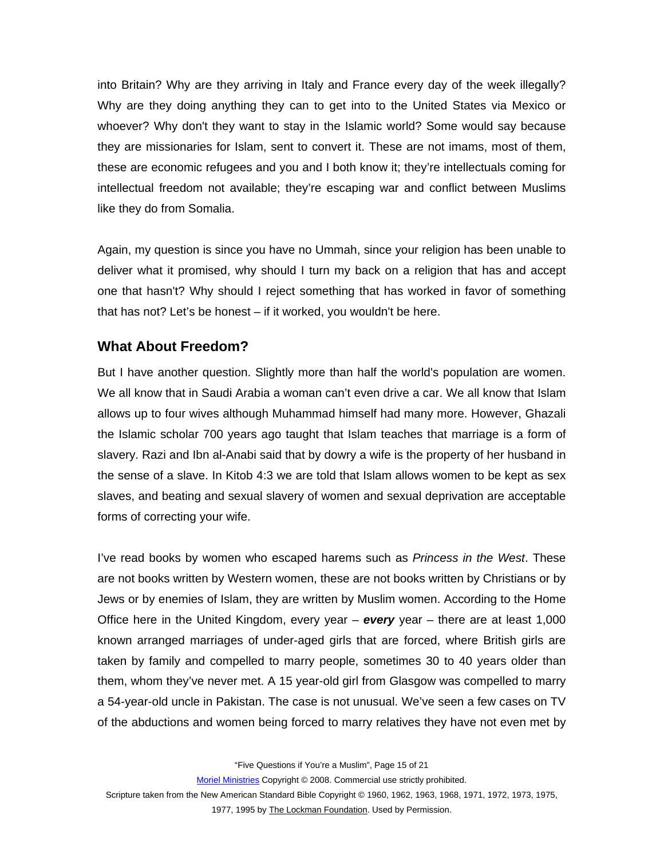<span id="page-14-0"></span>into Britain? Why are they arriving in Italy and France every day of the week illegally? Why are they doing anything they can to get into to the United States via Mexico or whoever? Why don't they want to stay in the Islamic world? Some would say because they are missionaries for Islam, sent to convert it. These are not imams, most of them, these are economic refugees and you and I both know it; they're intellectuals coming for intellectual freedom not available; they're escaping war and conflict between Muslims like they do from Somalia.

Again, my question is since you have no Ummah, since your religion has been unable to deliver what it promised, why should I turn my back on a religion that has and accept one that hasn't? Why should I reject something that has worked in favor of something that has not? Let's be honest – if it worked, you wouldn't be here.

# **What About Freedom?**

But I have another question. Slightly more than half the world's population are women. We all know that in Saudi Arabia a woman can't even drive a car. We all know that Islam allows up to four wives although Muhammad himself had many more. However, Ghazali the Islamic scholar 700 years ago taught that Islam teaches that marriage is a form of slavery. Razi and Ibn al-Anabi said that by dowry a wife is the property of her husband in the sense of a slave. In Kitob 4:3 we are told that Islam allows women to be kept as sex slaves, and beating and sexual slavery of women and sexual deprivation are acceptable forms of correcting your wife.

I've read books by women who escaped harems such as *Princess in the West*. These are not books written by Western women, these are not books written by Christians or by Jews or by enemies of Islam, they are written by Muslim women. According to the Home Office here in the United Kingdom, every year – *every* year – there are at least 1,000 known arranged marriages of under-aged girls that are forced, where British girls are taken by family and compelled to marry people, sometimes 30 to 40 years older than them, whom they've never met. A 15 year-old girl from Glasgow was compelled to marry a 54-year-old uncle in Pakistan. The case is not unusual. We've seen a few cases on TV of the abductions and women being forced to marry relatives they have not even met by

"Five Questions if You're a Muslim", Page 15 of 21

Moriel Ministries Copyright © 2008. Commercial use strictly prohibited.

Scripture taken from the New American Standard Bible Copyright © 1960, 1962, 1963, 1968, 1971, 1972, 1973, 1975,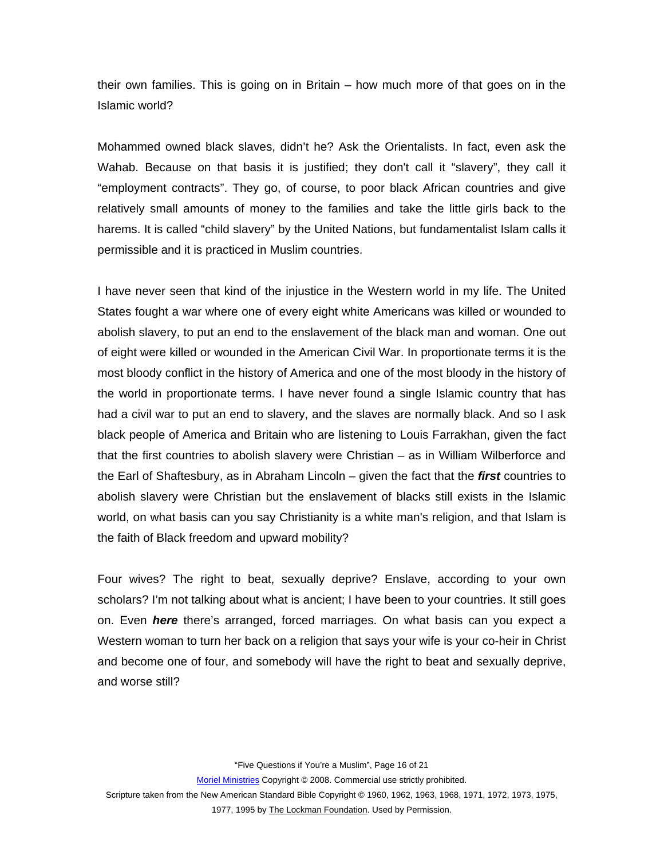their own families. This is going on in Britain – how much more of that goes on in the Islamic world?

Mohammed owned black slaves, didn't he? Ask the Orientalists. In fact, even ask the Wahab. Because on that basis it is justified; they don't call it "slavery", they call it "employment contracts". They go, of course, to poor black African countries and give relatively small amounts of money to the families and take the little girls back to the harems. It is called "child slavery" by the United Nations, but fundamentalist Islam calls it permissible and it is practiced in Muslim countries.

I have never seen that kind of the injustice in the Western world in my life. The United States fought a war where one of every eight white Americans was killed or wounded to abolish slavery, to put an end to the enslavement of the black man and woman. One out of eight were killed or wounded in the American Civil War. In proportionate terms it is the most bloody conflict in the history of America and one of the most bloody in the history of the world in proportionate terms. I have never found a single Islamic country that has had a civil war to put an end to slavery, and the slaves are normally black. And so I ask black people of America and Britain who are listening to Louis Farrakhan, given the fact that the first countries to abolish slavery were Christian – as in William Wilberforce and the Earl of Shaftesbury, as in Abraham Lincoln – given the fact that the *first* countries to abolish slavery were Christian but the enslavement of blacks still exists in the Islamic world, on what basis can you say Christianity is a white man's religion, and that Islam is the faith of Black freedom and upward mobility?

Four wives? The right to beat, sexually deprive? Enslave, according to your own scholars? I'm not talking about what is ancient; I have been to your countries. It still goes on. Even *here* there's arranged, forced marriages. On what basis can you expect a Western woman to turn her back on a religion that says your wife is your co-heir in Christ and become one of four, and somebody will have the right to beat and sexually deprive, and worse still?

"Five Questions if You're a Muslim", Page 16 of 21

Moriel Ministries Copyright © 2008. Commercial use strictly prohibited.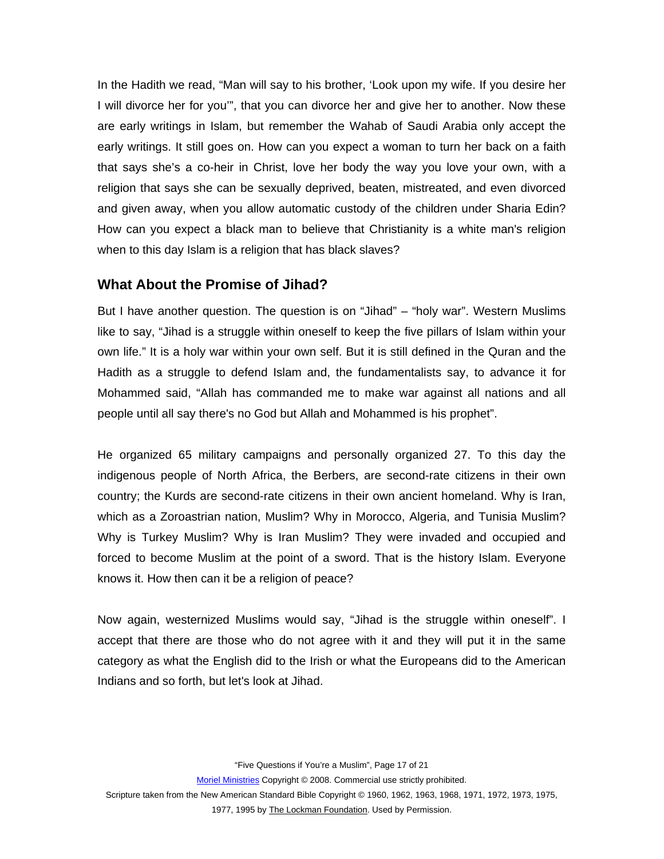<span id="page-16-0"></span>In the Hadith we read, "Man will say to his brother, 'Look upon my wife. If you desire her I will divorce her for you'", that you can divorce her and give her to another. Now these are early writings in Islam, but remember the Wahab of Saudi Arabia only accept the early writings. It still goes on. How can you expect a woman to turn her back on a faith that says she's a co-heir in Christ, love her body the way you love your own, with a religion that says she can be sexually deprived, beaten, mistreated, and even divorced and given away, when you allow automatic custody of the children under Sharia Edin? How can you expect a black man to believe that Christianity is a white man's religion when to this day Islam is a religion that has black slaves?

### **What About the Promise of Jihad?**

But I have another question. The question is on "Jihad" – "holy war". Western Muslims like to say, "Jihad is a struggle within oneself to keep the five pillars of Islam within your own life." It is a holy war within your own self. But it is still defined in the Quran and the Hadith as a struggle to defend Islam and, the fundamentalists say, to advance it for Mohammed said, "Allah has commanded me to make war against all nations and all people until all say there's no God but Allah and Mohammed is his prophet".

He organized 65 military campaigns and personally organized 27. To this day the indigenous people of North Africa, the Berbers, are second-rate citizens in their own country; the Kurds are second-rate citizens in their own ancient homeland. Why is Iran, which as a Zoroastrian nation, Muslim? Why in Morocco, Algeria, and Tunisia Muslim? Why is Turkey Muslim? Why is Iran Muslim? They were invaded and occupied and forced to become Muslim at the point of a sword. That is the history Islam. Everyone knows it. How then can it be a religion of peace?

Now again, westernized Muslims would say, "Jihad is the struggle within oneself". I accept that there are those who do not agree with it and they will put it in the same category as what the English did to the Irish or what the Europeans did to the American Indians and so forth, but let's look at Jihad.

"Five Questions if You're a Muslim", Page 17 of 21

Moriel Ministries Copyright © 2008. Commercial use strictly prohibited.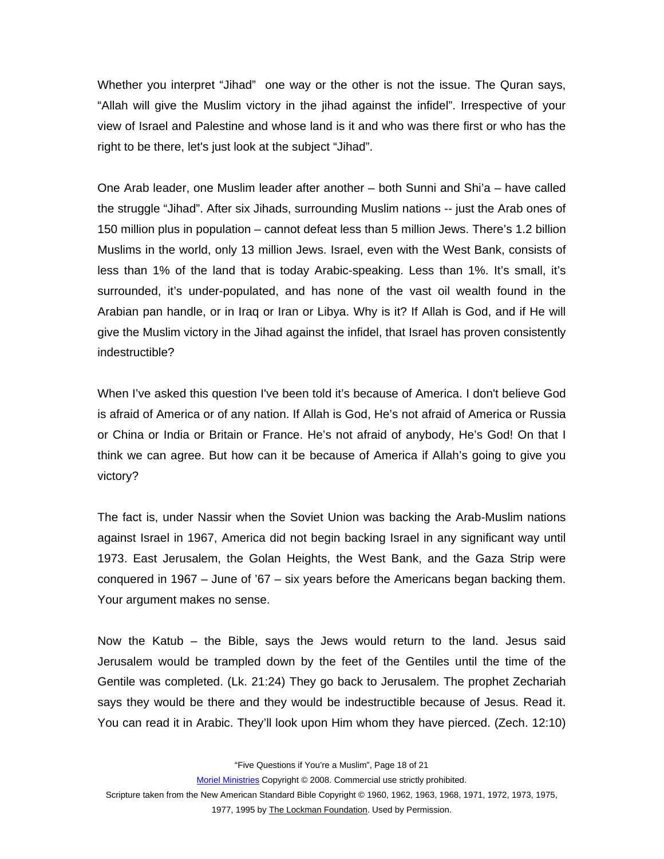Whether you interpret "Jihad" one way or the other is not the issue. The Quran says, "Allah will give the Muslim victory in the jihad against the infidel". Irrespective of your view of Israel and Palestine and whose land is it and who was there first or who has the right to be there, let's just look at the subject "Jihad".

One Arab leader, one Muslim leader after another – both Sunni and Shi'a – have called the struggle "Jihad". After six Jihads, surrounding Muslim nations -- just the Arab ones of 150 million plus in population – cannot defeat less than 5 million Jews. There's 1.2 billion Muslims in the world, only 13 million Jews. Israel, even with the West Bank, consists of less than 1% of the land that is today Arabic-speaking. Less than 1%. It's small, it's surrounded, it's under-populated, and has none of the vast oil wealth found in the Arabian pan handle, or in Iraq or Iran or Libya. Why is it? If Allah is God, and if He will give the Muslim victory in the Jihad against the infidel, that Israel has proven consistently indestructible?

When I've asked this question I've been told it's because of America. I don't believe God is afraid of America or of any nation. If Allah is God, He's not afraid of America or Russia or China or India or Britain or France. He's not afraid of anybody, He's God! On that I think we can agree. But how can it be because of America if Allah's going to give you victory?

The fact is, under Nassir when the Soviet Union was backing the Arab-Muslim nations against Israel in 1967, America did not begin backing Israel in any significant way until 1973. East Jerusalem, the Golan Heights, the West Bank, and the Gaza Strip were conquered in 1967 – June of '67 – six years before the Americans began backing them. Your argument makes no sense.

Now the Katub – the Bible, says the Jews would return to the land. Jesus said Jerusalem would be trampled down by the feet of the Gentiles until the time of the Gentile was completed. (Lk. 21:24) They go back to Jerusalem. The prophet Zechariah says they would be there and they would be indestructible because of Jesus. Read it. You can read it in Arabic. They'll look upon Him whom they have pierced. (Zech. 12:10)

"Five Questions if You're a Muslim", Page 18 of 21

Moriel Ministries Copyright © 2008. Commercial use strictly prohibited.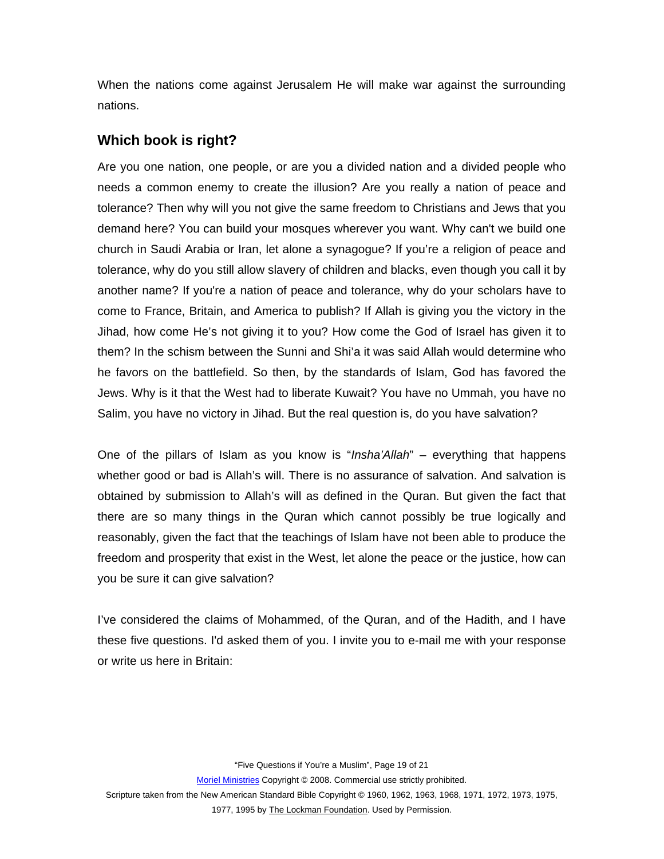<span id="page-18-0"></span>When the nations come against Jerusalem He will make war against the surrounding nations.

### **Which book is right?**

Are you one nation, one people, or are you a divided nation and a divided people who needs a common enemy to create the illusion? Are you really a nation of peace and tolerance? Then why will you not give the same freedom to Christians and Jews that you demand here? You can build your mosques wherever you want. Why can't we build one church in Saudi Arabia or Iran, let alone a synagogue? If you're a religion of peace and tolerance, why do you still allow slavery of children and blacks, even though you call it by another name? If you're a nation of peace and tolerance, why do your scholars have to come to France, Britain, and America to publish? If Allah is giving you the victory in the Jihad, how come He's not giving it to you? How come the God of Israel has given it to them? In the schism between the Sunni and Shi'a it was said Allah would determine who he favors on the battlefield. So then, by the standards of Islam, God has favored the Jews. Why is it that the West had to liberate Kuwait? You have no Ummah, you have no Salim, you have no victory in Jihad. But the real question is, do you have salvation?

One of the pillars of Islam as you know is "*Insha'Allah*" – everything that happens whether good or bad is Allah's will. There is no assurance of salvation. And salvation is obtained by submission to Allah's will as defined in the Quran. But given the fact that there are so many things in the Quran which cannot possibly be true logically and reasonably, given the fact that the teachings of Islam have not been able to produce the freedom and prosperity that exist in the West, let alone the peace or the justice, how can you be sure it can give salvation?

I've considered the claims of Mohammed, of the Quran, and of the Hadith, and I have these five questions. I'd asked them of you. I invite you to e-mail me with your response or write us here in Britain:

"Five Questions if You're a Muslim", Page 19 of 21

Moriel Ministries Copyright © 2008. Commercial use strictly prohibited.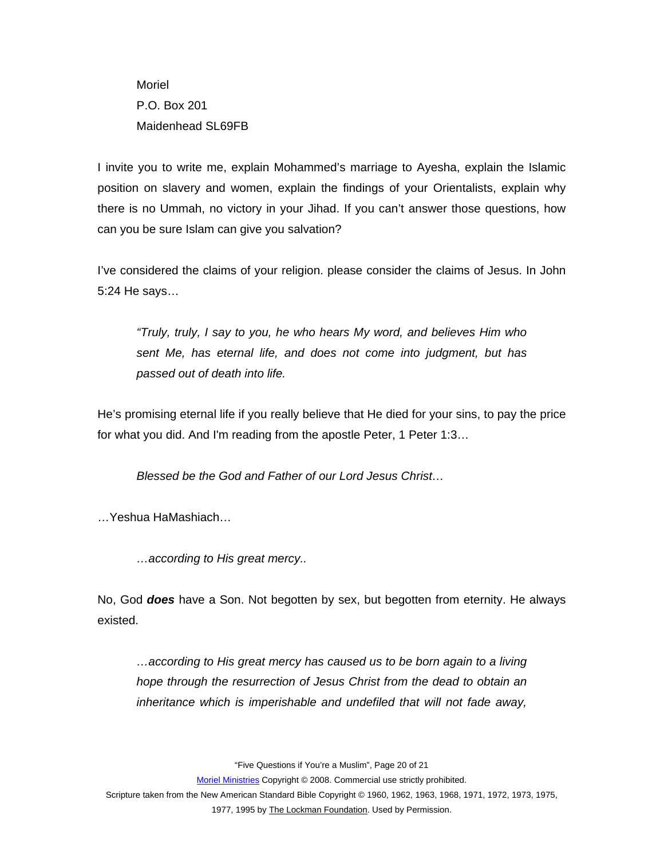Moriel P.O. Box 201 Maidenhead SL69FB

I invite you to write me, explain Mohammed's marriage to Ayesha, explain the Islamic position on slavery and women, explain the findings of your Orientalists, explain why there is no Ummah, no victory in your Jihad. If you can't answer those questions, how can you be sure Islam can give you salvation?

I've considered the claims of your religion. please consider the claims of Jesus. In John 5:24 He says…

*"Truly, truly, I say to you, he who hears My word, and believes Him who sent Me, has eternal life, and does not come into judgment, but has passed out of death into life.* 

He's promising eternal life if you really believe that He died for your sins, to pay the price for what you did. And I'm reading from the apostle Peter, 1 Peter 1:3…

*Blessed be the God and Father of our Lord Jesus Christ…* 

…Yeshua HaMashiach…

*…according to His great mercy..* 

No, God *does* have a Son. Not begotten by sex, but begotten from eternity. He always existed.

*…according to His great mercy has caused us to be born again to a living hope through the resurrection of Jesus Christ from the dead to obtain an inheritance which is imperishable and undefiled that will not fade away,* 

"Five Questions if You're a Muslim", Page 20 of 21

Moriel Ministries Copyright © 2008. Commercial use strictly prohibited.